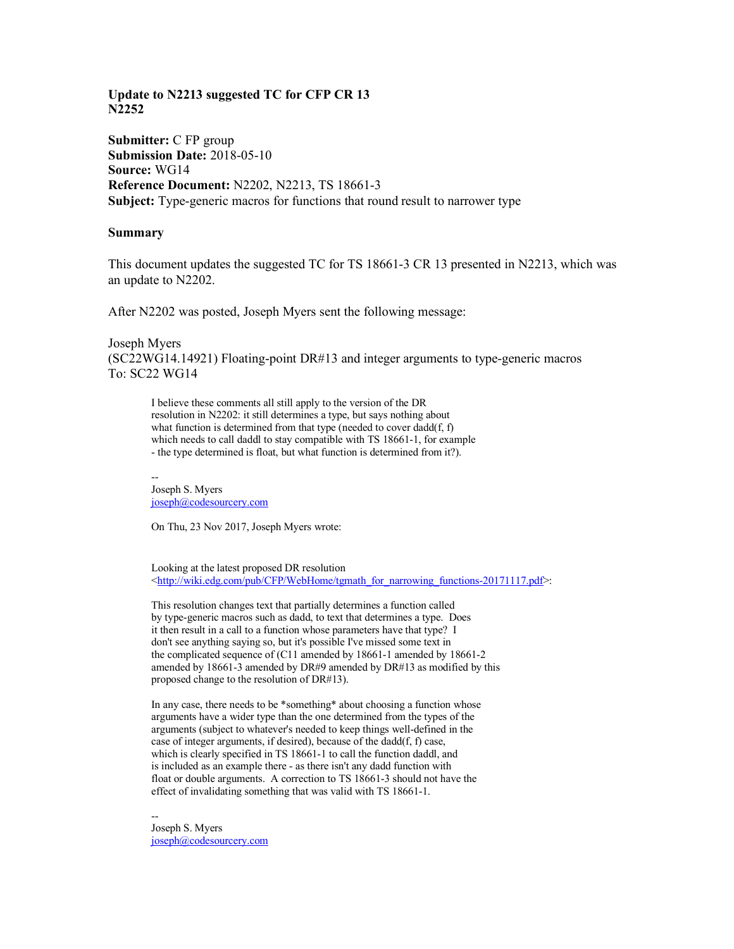## **Update to N2213 suggested TC for CFP CR 13 N2252**

**Submitter:** C FP group **Submission Date:** 2018-05-10 **Source:** WG14 **Reference Document:** N2202, N2213, TS 18661-3 **Subject:** Type-generic macros for functions that round result to narrower type

## **Summary**

This document updates the suggested TC for TS 18661-3 CR 13 presented in N2213, which was an update to N2202.

After N2202 was posted, Joseph Myers sent the following message:

Joseph Myers (SC22WG14.14921) Floating-point DR#13 and integer arguments to type-generic macros To: SC22 WG14

I believe these comments all still apply to the version of the DR resolution in N2202: it still determines a type, but says nothing about what function is determined from that type (needed to cover dadd(f, f) which needs to call daddl to stay compatible with TS 18661-1, for example - the type determined is float, but what function is determined from it?).

-- Joseph S. Myers joseph@codesourcery.com

On Thu, 23 Nov 2017, Joseph Myers wrote:

Looking at the latest proposed DR resolution <http://wiki.edg.com/pub/CFP/WebHome/tgmath\_for\_narrowing\_functions-20171117.pdf>:

This resolution changes text that partially determines a function called by type-generic macros such as dadd, to text that determines a type. Does it then result in a call to a function whose parameters have that type? I don't see anything saying so, but it's possible I've missed some text in the complicated sequence of (C11 amended by 18661-1 amended by 18661-2 amended by 18661-3 amended by DR#9 amended by DR#13 as modified by this proposed change to the resolution of DR#13).

In any case, there needs to be \*something\* about choosing a function whose arguments have a wider type than the one determined from the types of the arguments (subject to whatever's needed to keep things well-defined in the case of integer arguments, if desired), because of the dadd(f, f) case, which is clearly specified in TS 18661-1 to call the function daddl, and is included as an example there - as there isn't any dadd function with float or double arguments. A correction to TS 18661-3 should not have the effect of invalidating something that was valid with TS 18661-1.

-- Joseph S. Myers joseph@codesourcery.com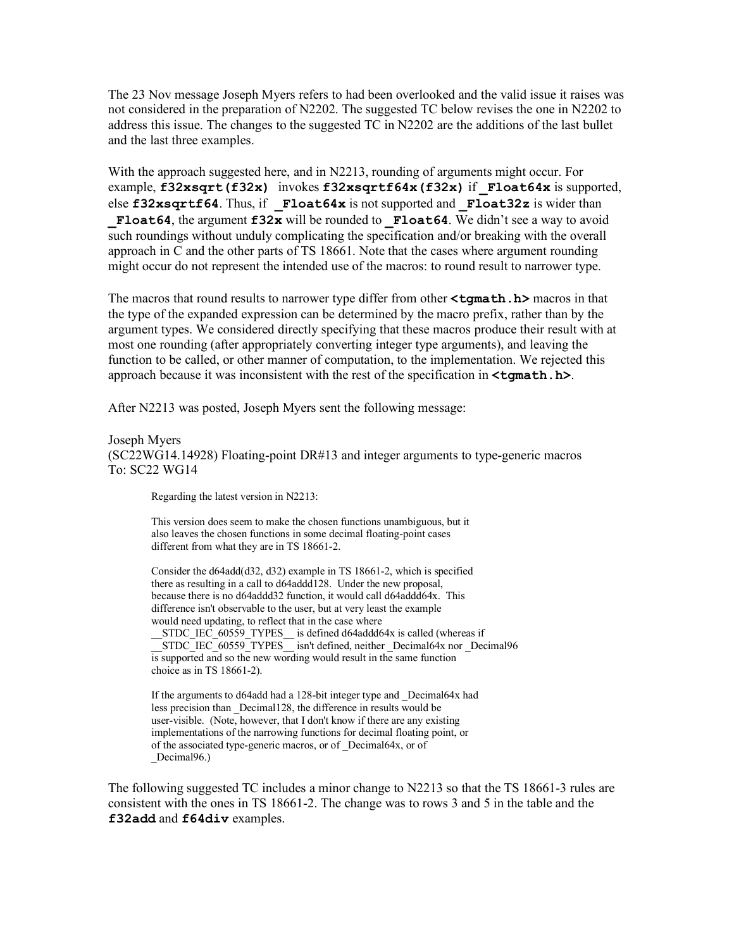The 23 Nov message Joseph Myers refers to had been overlooked and the valid issue it raises was not considered in the preparation of N2202. The suggested TC below revises the one in N2202 to address this issue. The changes to the suggested TC in N2202 are the additions of the last bullet and the last three examples.

With the approach suggested here, and in N2213, rounding of arguments might occur. For example, **f32xsqrt(f32x)** invokes **f32xsqrtf64x(f32x)** if **\_Float64x** is supported, else **f32xsqrtf64**. Thus, if **\_Float64x** is not supported and **\_Float32z** is wider than **Float64**, the argument **f32x** will be rounded to **Float64**. We didn't see a way to avoid such roundings without unduly complicating the specification and/or breaking with the overall approach in C and the other parts of TS 18661. Note that the cases where argument rounding might occur do not represent the intended use of the macros: to round result to narrower type.

The macros that round results to narrower type differ from other  $\text{tau}$ . **h**> macros in that the type of the expanded expression can be determined by the macro prefix, rather than by the argument types. We considered directly specifying that these macros produce their result with at most one rounding (after appropriately converting integer type arguments), and leaving the function to be called, or other manner of computation, to the implementation. We rejected this approach because it was inconsistent with the rest of the specification in **<tgmath.h>**.

After N2213 was posted, Joseph Myers sent the following message:

## Joseph Myers

(SC22WG14.14928) Floating-point DR#13 and integer arguments to type-generic macros To: SC22 WG14

Regarding the latest version in N2213:

This version does seem to make the chosen functions unambiguous, but it also leaves the chosen functions in some decimal floating-point cases different from what they are in TS 18661-2.

Consider the d64add(d32, d32) example in TS 18661-2, which is specified there as resulting in a call to d64addd128. Under the new proposal, because there is no d64addd32 function, it would call d64addd64x. This difference isn't observable to the user, but at very least the example would need updating, to reflect that in the case where STDC IEC 60559 TYPES is defined d64addd64x is called (whereas if

STDC\_IEC\_60559\_TYPES\_\_ isn't defined, neither \_Decimal64x nor \_Decimal96 is supported and so the new wording would result in the same function choice as in TS 18661-2).

If the arguments to d64add had a 128-bit integer type and \_Decimal64x had less precision than \_Decimal128, the difference in results would be user-visible. (Note, however, that I don't know if there are any existing implementations of the narrowing functions for decimal floating point, or of the associated type-generic macros, or of \_Decimal64x, or of \_Decimal96.)

The following suggested TC includes a minor change to N2213 so that the TS 18661-3 rules are consistent with the ones in TS 18661-2. The change was to rows 3 and 5 in the table and the **f32add** and **f64div** examples.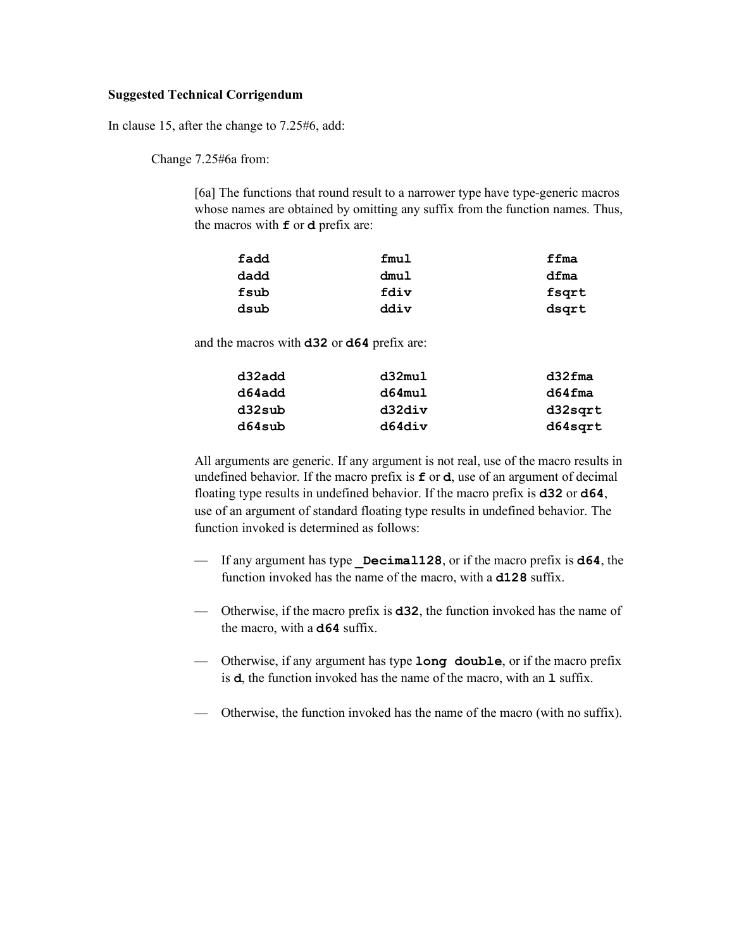## **Suggested Technical Corrigendum**

In clause 15, after the change to 7.25#6, add:

Change 7.25#6a from:

[6a] The functions that round result to a narrower type have type-generic macros whose names are obtained by omitting any suffix from the function names. Thus, the macros with **f** or **d** prefix are:

| fadd | fmul | ffma  |
|------|------|-------|
| dadd | dmul | dfma  |
| fsub | fdiv | fsqrt |
| dsub | ddiv | dsgrt |

and the macros with **d32** or **d64** prefix are:

| d32add | d32mul    | $d32$ fma |
|--------|-----------|-----------|
| d64add | $d64$ mul | $d64$ fma |
| d32sub | d32div    | d32sqrt   |
| d64sub | d64div    | d64sqrt   |

All arguments are generic. If any argument is not real, use of the macro results in undefined behavior. If the macro prefix is **f** or **d**, use of an argument of decimal floating type results in undefined behavior. If the macro prefix is **d32** or **d64**, use of an argument of standard floating type results in undefined behavior. The function invoked is determined as follows:

- If any argument has type **\_Decimal128**, or if the macro prefix is **d64**, the function invoked has the name of the macro, with a **d128** suffix.
- Otherwise, if the macro prefix is **d32**, the function invoked has the name of the macro, with a **d64** suffix.
- Otherwise, if any argument has type **long double**, or if the macro prefix is **d**, the function invoked has the name of the macro, with an **l** suffix.
- Otherwise, the function invoked has the name of the macro (with no suffix).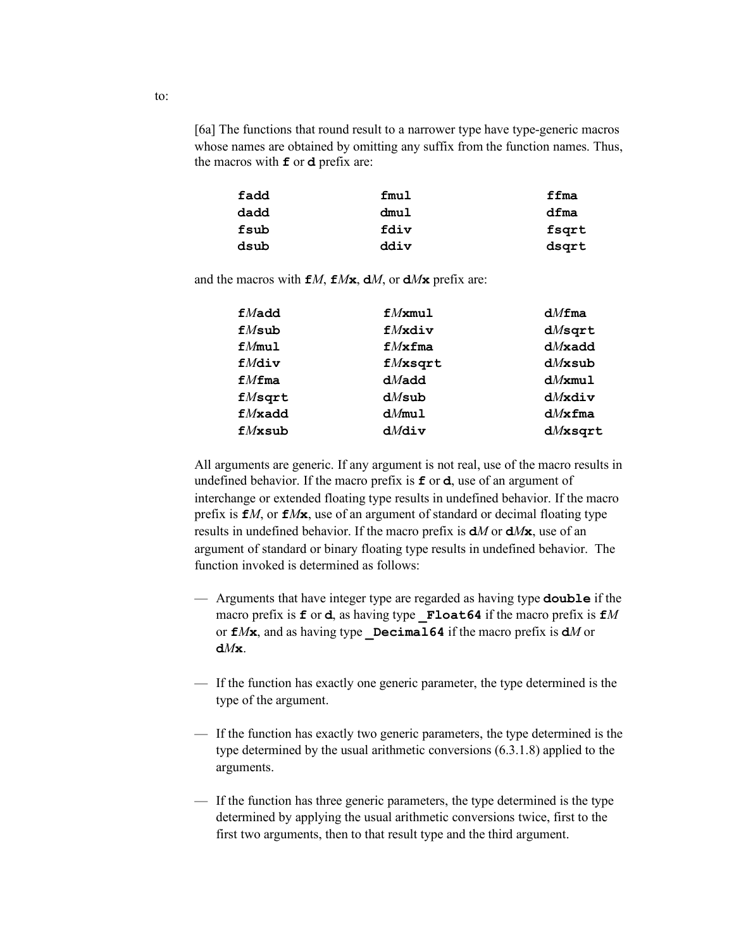[6a] The functions that round result to a narrower type have type-generic macros whose names are obtained by omitting any suffix from the function names. Thus, the macros with **f** or **d** prefix are:

| fadd | fmul | ffma  |
|------|------|-------|
| dadd | dmul | dfma  |
| fsub | fdiv | fsqrt |
| dsub | ddiv | dsgrt |

and the macros with  $f{f}M$ ,  $f{f}M$ **x**,  $dM$ , or  $dM$ **x** prefix are:

| $f$ <i>Madd</i> | $fM$ xmul         | dMfma      |
|-----------------|-------------------|------------|
| $fM$ sub        | $f$ <i>M</i> xdiv | $dM$ sqrt  |
| fMmu1           | fMxfma            | $dM$ xadd  |
| $f$ <i>Mdiv</i> | $fM$ xsqrt        | $dM$ xsub  |
| fMfma           | $dM$ add          | $dM$ xmul  |
| $fM$ sqrt       | $dM$ sub          | $dM$ xdiv  |
| f/Mxadd         | $dM$ mul          | $dM$ xfma  |
| $fM$ xsub       | $dM$ div          | $dM$ xsqrt |

All arguments are generic. If any argument is not real, use of the macro results in undefined behavior. If the macro prefix is **f** or **d**, use of an argument of interchange or extended floating type results in undefined behavior. If the macro prefix is **f***M*, or **f***M***x**, use of an argument of standard or decimal floating type results in undefined behavior. If the macro prefix is **d***M* or **d***M***x**, use of an argument of standard or binary floating type results in undefined behavior. The function invoked is determined as follows:

- Arguments that have integer type are regarded as having type **double** if the macro prefix is **f** or **d**, as having type **\_Float64** if the macro prefix is **f***M* or  $f{f}Mx$ , and as having type **Decimal64** if the macro prefix is  $dM$  or **d***M***x**.
- If the function has exactly one generic parameter, the type determined is the type of the argument.
- If the function has exactly two generic parameters, the type determined is the type determined by the usual arithmetic conversions (6.3.1.8) applied to the arguments.
- If the function has three generic parameters, the type determined is the type determined by applying the usual arithmetic conversions twice, first to the first two arguments, then to that result type and the third argument.

to: